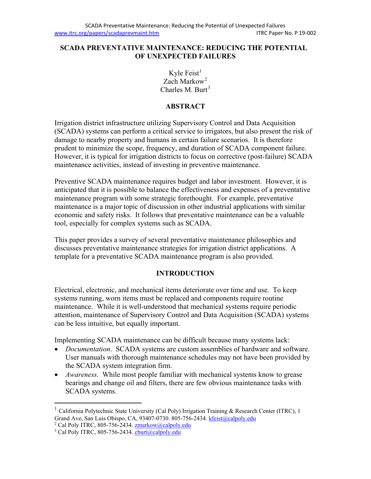#### **SCADA PREVENTATIVE MAINTENANCE: REDUCING THE POTENTIAL OF UNEXPECTED FAILURES**

Kyle Feist $<sup>1</sup>$  $<sup>1</sup>$  $<sup>1</sup>$ </sup> Zach Markow<sup>[2](#page-0-1)</sup> Charles M. Burt<sup>[3](#page-0-2)</sup>

### **ABSTRACT**

Irrigation district infrastructure utilizing Supervisory Control and Data Acquisition (SCADA) systems can perform a critical service to irrigators, but also present the risk of damage to nearby property and humans in certain failure scenarios. It is therefore prudent to minimize the scope, frequency, and duration of SCADA component failure. However, it is typical for irrigation districts to focus on corrective (post-failure) SCADA maintenance activities, instead of investing in preventive maintenance.

Preventive SCADA maintenance requires budget and labor investment. However, it is anticipated that it is possible to balance the effectiveness and expenses of a preventative maintenance program with some strategic forethought. For example, preventative maintenance is a major topic of discussion in other industrial applications with similar economic and safety risks. It follows that preventative maintenance can be a valuable tool, especially for complex systems such as SCADA.

This paper provides a survey of several preventative maintenance philosophies and discusses preventative maintenance strategies for irrigation district applications. A template for a preventative SCADA maintenance program is also provided.

## **INTRODUCTION**

Electrical, electronic, and mechanical items deteriorate over time and use. To keep systems running, worn items must be replaced and components require routine maintenance. While it is well-understood that mechanical systems require periodic attention, maintenance of Supervisory Control and Data Acquisition (SCADA) systems can be less intuitive, but equally important.

Implementing SCADA maintenance can be difficult because many systems lack:

- *Documentation*. SCADA systems are custom assemblies of hardware and software. User manuals with thorough maintenance schedules may not have been provided by the SCADA system integration firm.
- *Awareness.* While most people familiar with mechanical systems know to grease bearings and change oil and filters, there are few obvious maintenance tasks with SCADA systems.

<span id="page-0-0"></span><sup>&</sup>lt;sup>1</sup> California Polytechnic State University (Cal Poly) Irrigation Training & Research Center (ITRC), 1 Grand Ave, San Luis Obispo, CA, 93407-0730. 805-756-2434[. kfeist@calpoly.edu](mailto:kfeist@calpoly.edu)

<span id="page-0-2"></span><span id="page-0-1"></span><sup>&</sup>lt;sup>2</sup> Cal Poly ITRC, 805-756-2434.  $\frac{\text{zmarkow@calpoly.edu}}{\text{zbar@calpoly.edu}}$ <br><sup>3</sup> Cal Poly ITRC, 805-756-2434.  $\frac{\text{eburt@calpoly.edu}}{\text{zbar@calpoly.edu}}$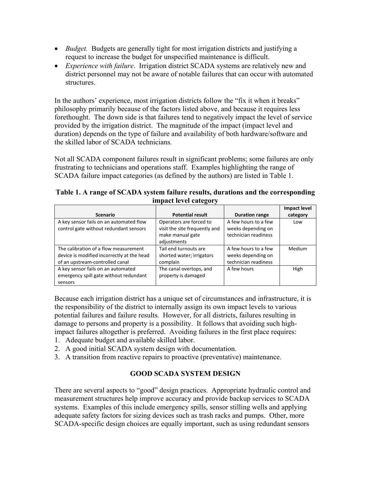- *Budget.* Budgets are generally tight for most irrigation districts and justifying a request to increase the budget for unspecified maintenance is difficult.
- *Experience with failure*. Irrigation district SCADA systems are relatively new and district personnel may not be aware of notable failures that can occur with automated structures.

In the authors' experience, most irrigation districts follow the "fix it when it breaks" philosophy primarily because of the factors listed above, and because it requires less forethought. The down side is that failures tend to negatively impact the level of service provided by the irrigation district. The magnitude of the impact (impact level and duration) depends on the type of failure and availability of both hardware/software and the skilled labor of SCADA technicians.

Not all SCADA component failures result in significant problems; some failures are only frustrating to technicians and operations staff. Examples highlighting the range of SCADA failure impact categories (as defined by the authors) are listed in Table 1.

| Table 1. A range of SCADA system failure results, durations and the corresponding |
|-----------------------------------------------------------------------------------|
| impact level category                                                             |

|                                            |                               |                       | <b>Impact level</b> |
|--------------------------------------------|-------------------------------|-----------------------|---------------------|
| <b>Scenario</b>                            | <b>Potential result</b>       | <b>Duration range</b> | category            |
| A key sensor fails on an automated flow    | Operators are forced to       | A few hours to a few  | Low                 |
| control gate without redundant sensors     | visit the site frequently and | weeks depending on    |                     |
|                                            | make manual gate              | technician readiness  |                     |
|                                            | adjustments                   |                       |                     |
| The calibration of a flow measurement      | Tail end turnouts are         | A few hours to a few  | Medium              |
| device is modified incorrectly at the head | shorted water; irrigators     | weeks depending on    |                     |
| of an upstream-controlled canal            | complain                      | technician readiness  |                     |
| A key sensor fails on an automated         | The canal overtops, and       | A few hours           | High                |
| emergency spill gate without redundant     | property is damaged           |                       |                     |
| sensors                                    |                               |                       |                     |

Because each irrigation district has a unique set of circumstances and infrastructure, it is the responsibility of the district to internally assign its own impact levels to various potential failures and failure results. However, for all districts, failures resulting in damage to persons and property is a possibility. It follows that avoiding such highimpact failures altogether is preferred. Avoiding failures in the first place requires:

- 1. Adequate budget and available skilled labor.
- 2. A good initial SCADA system design with documentation.
- 3. A transition from reactive repairs to proactive (preventative) maintenance.

## **GOOD SCADA SYSTEM DESIGN**

There are several aspects to "good" design practices. Appropriate hydraulic control and measurement structures help improve accuracy and provide backup services to SCADA systems. Examples of this include emergency spills, sensor stilling wells and applying adequate safety factors for sizing devices such as trash racks and pumps. Other, more SCADA-specific design choices are equally important, such as using redundant sensors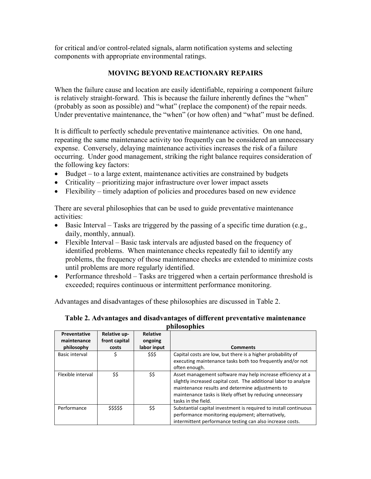for critical and/or control-related signals, alarm notification systems and selecting components with appropriate environmental ratings.

## **MOVING BEYOND REACTIONARY REPAIRS**

When the failure cause and location are easily identifiable, repairing a component failure is relatively straight-forward. This is because the failure inherently defines the "when" (probably as soon as possible) and "what" (replace the component) of the repair needs. Under preventative maintenance, the "when" (or how often) and "what" must be defined.

It is difficult to perfectly schedule preventative maintenance activities. On one hand, repeating the same maintenance activity too frequently can be considered an unnecessary expense. Conversely, delaying maintenance activities increases the risk of a failure occurring. Under good management, striking the right balance requires consideration of the following key factors:

- Budget to a large extent, maintenance activities are constrained by budgets
- Criticality prioritizing major infrastructure over lower impact assets
- Flexibility timely adaption of policies and procedures based on new evidence

There are several philosophies that can be used to guide preventative maintenance activities:

- Basic Interval Tasks are triggered by the passing of a specific time duration (e.g., daily, monthly, annual).
- Flexible Interval Basic task intervals are adjusted based on the frequency of identified problems. When maintenance checks repeatedly fail to identify any problems, the frequency of those maintenance checks are extended to minimize costs until problems are more regularly identified.
- Performance threshold Tasks are triggered when a certain performance threshold is exceeded; requires continuous or intermittent performance monitoring.

Advantages and disadvantages of these philosophies are discussed in Table 2.

**Table 2. Advantages and disadvantages of different preventative maintenance philosophies**

| Preventative<br>maintenance | Relative up-<br>front capital | <b>Relative</b><br>ongoing |                                                                  |
|-----------------------------|-------------------------------|----------------------------|------------------------------------------------------------------|
| philosophy                  | costs                         | labor input                | <b>Comments</b>                                                  |
| Basic interval              | \$                            | \$\$\$                     | Capital costs are low, but there is a higher probability of      |
|                             |                               |                            | executing maintenance tasks both too frequently and/or not       |
|                             |                               |                            | often enough.                                                    |
| Flexible interval           | \$\$                          | \$\$                       | Asset management software may help increase efficiency at a      |
|                             |                               |                            | slightly increased capital cost. The additional labor to analyze |
|                             |                               |                            | maintenance results and determine adjustments to                 |
|                             |                               |                            | maintenance tasks is likely offset by reducing unnecessary       |
|                             |                               |                            | tasks in the field.                                              |
| Performance                 | \$\$\$\$\$                    | \$\$                       | Substantial capital investment is required to install continuous |
|                             |                               |                            | performance monitoring equipment; alternatively,                 |
|                             |                               |                            | intermittent performance testing can also increase costs.        |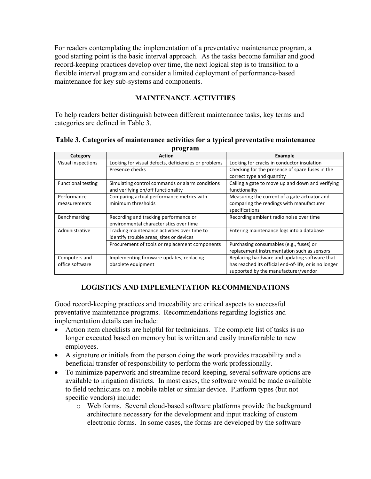For readers contemplating the implementation of a preventative maintenance program, a good starting point is the basic interval approach. As the tasks become familiar and good record-keeping practices develop over time, the next logical step is to transition to a flexible interval program and consider a limited deployment of performance-based maintenance for key sub-systems and components.

# **MAINTENANCE ACTIVITIES**

To help readers better distinguish between different maintenance tasks, key terms and categories are defined in Table 3.

#### **Table 3. Categories of maintenance activities for a typical preventative maintenance program**

| Category                  | - - <b>-</b> -<br><b>Action</b>                      | Example                                               |
|---------------------------|------------------------------------------------------|-------------------------------------------------------|
| Visual inspections        | Looking for visual defects, deficiencies or problems | Looking for cracks in conductor insulation            |
|                           | Presence checks                                      | Checking for the presence of spare fuses in the       |
|                           |                                                      | correct type and quantity                             |
| <b>Functional testing</b> | Simulating control commands or alarm conditions      | Calling a gate to move up and down and verifying      |
|                           | and verifying on/off functionality                   | functionality                                         |
| Performance               | Comparing actual performance metrics with            | Measuring the current of a gate actuator and          |
| measurements              | minimum thresholds                                   | comparing the readings with manufacturer              |
|                           |                                                      | specifications                                        |
| Benchmarking              | Recording and tracking performance or                | Recording ambient radio noise over time               |
|                           | environmental characteristics over time              |                                                       |
| Administrative            | Tracking maintenance activities over time to         | Entering maintenance logs into a database             |
|                           | identify trouble areas, sites or devices             |                                                       |
|                           | Procurement of tools or replacement components       | Purchasing consumables (e.g., fuses) or               |
|                           |                                                      | replacement instrumentation such as sensors           |
| Computers and             | Implementing firmware updates, replacing             | Replacing hardware and updating software that         |
| office software           | obsolete equipment                                   | has reached its official end-of-life, or is no longer |
|                           |                                                      | supported by the manufacturer/vendor                  |

## **LOGISTICS AND IMPLEMENTATION RECOMMENDATIONS**

Good record-keeping practices and traceability are critical aspects to successful preventative maintenance programs. Recommendations regarding logistics and implementation details can include:

- Action item checklists are helpful for technicians. The complete list of tasks is no longer executed based on memory but is written and easily transferrable to new employees.
- A signature or initials from the person doing the work provides traceability and a beneficial transfer of responsibility to perform the work professionally.
- To minimize paperwork and streamline record-keeping, several software options are available to irrigation districts. In most cases, the software would be made available to field technicians on a mobile tablet or similar device. Platform types (but not specific vendors) include:
	- o Web forms. Several cloud-based software platforms provide the background architecture necessary for the development and input tracking of custom electronic forms. In some cases, the forms are developed by the software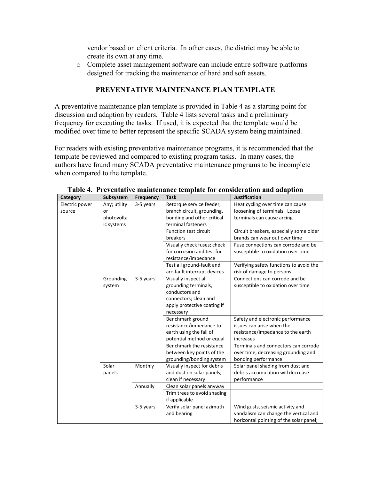vendor based on client criteria. In other cases, the district may be able to create its own at any time.

o Complete asset management software can include entire software platforms designed for tracking the maintenance of hard and soft assets.

## **PREVENTATIVE MAINTENANCE PLAN TEMPLATE**

A preventative maintenance plan template is provided in Table 4 as a starting point for discussion and adaption by readers. Table 4 lists several tasks and a preliminary frequency for executing the tasks. If used, it is expected that the template would be modified over time to better represent the specific SCADA system being maintained.

For readers with existing preventative maintenance programs, it is recommended that the template be reviewed and compared to existing program tasks. In many cases, the authors have found many SCADA preventative maintenance programs to be incomplete when compared to the template.

| Category       | Subsystem    | <b>Frequency</b> | <b>Task</b>                  | <b>Justification</b>                    |
|----------------|--------------|------------------|------------------------------|-----------------------------------------|
| Electric power | Any; utility | 3-5 years        | Retorque service feeder,     | Heat cycling over time can cause        |
| source         | or           |                  | branch circuit, grounding,   | loosening of terminals. Loose           |
|                | photovolta   |                  | bonding and other critical   | terminals can cause arcing              |
|                | ic systems   |                  | terminal fasteners           |                                         |
|                |              |                  | <b>Function test circuit</b> | Circuit breakers, especially some older |
|                |              |                  | breakers                     | brands can wear out over time           |
|                |              |                  | Visually check fuses; check  | Fuse connections can corrode and be     |
|                |              |                  | for corrosion and test for   | susceptible to oxidation over time      |
|                |              |                  | resistance/impedance         |                                         |
|                |              |                  | Test all ground-fault and    | Verifying safety functions to avoid the |
|                |              |                  | arc-fault interrupt devices  | risk of damage to persons               |
|                | Grounding    | 3-5 years        | Visually inspect all         | Connections can corrode and be          |
|                | system       |                  | grounding terminals,         | susceptible to oxidation over time      |
|                |              |                  | conductors and               |                                         |
|                |              |                  | connectors; clean and        |                                         |
|                |              |                  | apply protective coating if  |                                         |
|                |              |                  | necessary                    |                                         |
|                |              |                  | Benchmark ground             | Safety and electronic performance       |
|                |              |                  | resistance/impedance to      | issues can arise when the               |
|                |              |                  | earth using the fall of      | resistance/impedance to the earth       |
|                |              |                  | potential method or equal    | increases                               |
|                |              |                  | Benchmark the resistance     | Terminals and connectors can corrode    |
|                |              |                  | between key points of the    | over time, decreasing grounding and     |
|                |              |                  | grounding/bonding system     | bonding performance                     |
|                | Solar        | Monthly          | Visually inspect for debris  | Solar panel shading from dust and       |
|                | panels       |                  | and dust on solar panels;    | debris accumulation will decrease       |
|                |              |                  | clean if necessary           | performance                             |
|                |              | Annually         | Clean solar panels anyway    |                                         |
|                |              |                  | Trim trees to avoid shading  |                                         |
|                |              |                  | if applicable                |                                         |
|                |              | 3-5 years        | Verify solar panel azimuth   | Wind gusts, seismic activity and        |
|                |              |                  | and bearing                  | vandalism can change the vertical and   |
|                |              |                  |                              | horizontal pointing of the solar panel; |

**Table 4. Preventative maintenance template for consideration and adaption**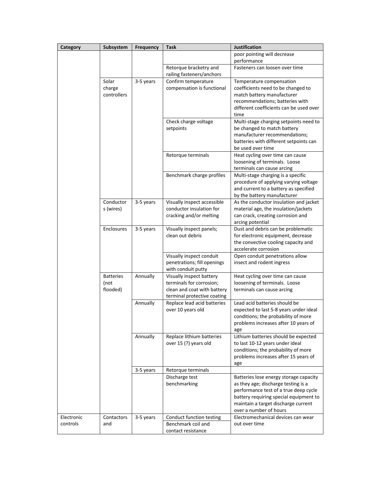| Category   | Subsystem                            | <b>Frequency</b> | <b>Task</b>                                                                                                        | Justification                                                                                                                                                                                                                     |
|------------|--------------------------------------|------------------|--------------------------------------------------------------------------------------------------------------------|-----------------------------------------------------------------------------------------------------------------------------------------------------------------------------------------------------------------------------------|
|            |                                      |                  |                                                                                                                    | poor pointing will decrease<br>performance                                                                                                                                                                                        |
|            |                                      |                  | Retorque bracketry and<br>railing fasteners/anchors                                                                | Fasteners can loosen over time                                                                                                                                                                                                    |
|            | Solar<br>charge<br>controllers       | 3-5 years        | Confirm temperature<br>compensation is functional                                                                  | Temperature compensation<br>coefficients need to be changed to<br>match battery manufacturer<br>recommendations; batteries with<br>different coefficients can be used over<br>time                                                |
|            |                                      |                  | Check charge voltage<br>setpoints                                                                                  | Multi-stage charging setpoints need to<br>be changed to match battery<br>manufacturer recommendations;<br>batteries with different setpoints can<br>be used over time                                                             |
|            |                                      |                  | Retorque terminals                                                                                                 | Heat cycling over time can cause<br>loosening of terminals. Loose<br>terminals can cause arcing                                                                                                                                   |
|            |                                      |                  | Benchmark charge profiles                                                                                          | Multi-stage charging is a specific<br>procedure of applying varying voltage<br>and current to a battery as specified<br>by the battery manufacturer                                                                               |
|            | Conductor<br>s (wires)               | 3-5 years        | Visually inspect accessible<br>conductor insulation for<br>cracking and/or melting                                 | As the conductor insulation and jacket<br>material age, the insulation/jackets<br>can crack, creating corrosion and<br>arcing potential                                                                                           |
|            | Enclosures                           | 3-5 years        | Visually inspect panels;<br>clean out debris                                                                       | Dust and debris can be problematic<br>for electronic equipment, decrease<br>the convective cooling capacity and<br>accelerate corrosion                                                                                           |
|            |                                      |                  | Visually inspect conduit<br>penetrations; fill openings<br>with conduit putty                                      | Open conduit penetrations allow<br>insect and rodent ingress                                                                                                                                                                      |
|            | <b>Batteries</b><br>(not<br>flooded) | Annually         | Visually inspect battery<br>terminals for corrosion;<br>clean and coat with battery<br>terminal protective coating | Heat cycling over time can cause<br>loosening of terminals. Loose<br>terminals can cause arcing                                                                                                                                   |
|            |                                      | Annually         | Replace lead acid batteries<br>over 10 years old                                                                   | Lead acid batteries should be<br>expected to last 5-8 years under ideal<br>conditions; the probability of more<br>problems increases after 10 years of<br>age                                                                     |
|            |                                      | Annually         | Replace lithium batteries<br>over 15 (?) years old                                                                 | Lithium batteries should be expected<br>to last 10-12 years under ideal<br>conditions; the probability of more<br>problems increases after 15 years of<br>age                                                                     |
|            |                                      | 3-5 years        | Retorque terminals                                                                                                 |                                                                                                                                                                                                                                   |
|            |                                      |                  | Discharge test<br>benchmarking                                                                                     | Batteries lose energy storage capacity<br>as they age; discharge testing is a<br>performance test of a true deep cycle<br>battery requiring special equipment to<br>maintain a target discharge current<br>over a number of hours |
| Electronic | Contactors                           | 3-5 years        | Conduct function testing                                                                                           | Electromechanical devices can wear                                                                                                                                                                                                |
| controls   | and                                  |                  | Benchmark coil and<br>contact resistance                                                                           | out over time                                                                                                                                                                                                                     |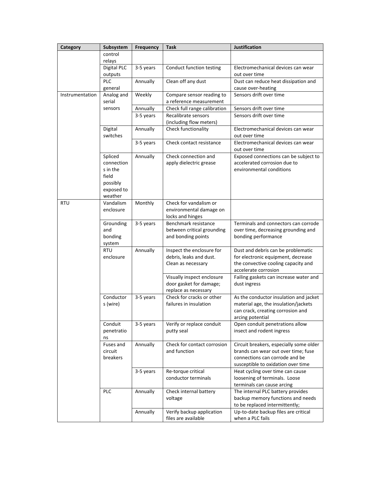| Category        | Subsystem                                                                       | <b>Frequency</b> | Task                                                                          | <b>Justification</b>                                                                                                                                   |
|-----------------|---------------------------------------------------------------------------------|------------------|-------------------------------------------------------------------------------|--------------------------------------------------------------------------------------------------------------------------------------------------------|
|                 | control<br>relays                                                               |                  |                                                                               |                                                                                                                                                        |
|                 | Digital PLC<br>outputs                                                          | 3-5 years        | Conduct function testing                                                      | Electromechanical devices can wear<br>out over time                                                                                                    |
|                 | PLC<br>general                                                                  | Annually         | Clean off any dust                                                            | Dust can reduce heat dissipation and<br>cause over-heating                                                                                             |
| Instrumentation | Analog and<br>serial                                                            | Weekly           | Compare sensor reading to<br>a reference measurement                          | Sensors drift over time                                                                                                                                |
|                 | sensors                                                                         | Annually         | Check full range calibration                                                  | Sensors drift over time                                                                                                                                |
|                 |                                                                                 | 3-5 years        | Recalibrate sensors<br>(including flow meters)                                | Sensors drift over time                                                                                                                                |
|                 | Digital<br>switches                                                             | Annually         | Check functionality                                                           | Electromechanical devices can wear<br>out over time                                                                                                    |
|                 |                                                                                 | 3-5 years        | Check contact resistance                                                      | Electromechanical devices can wear<br>out over time                                                                                                    |
|                 | Spliced<br>connection<br>s in the<br>field<br>possibly<br>exposed to<br>weather | Annually         | Check connection and<br>apply dielectric grease                               | Exposed connections can be subject to<br>accelerated corrosion due to<br>environmental conditions                                                      |
| RTU             | Vandalism<br>enclosure                                                          | Monthly          | Check for vandalism or<br>environmental damage on<br>locks and hinges         |                                                                                                                                                        |
|                 | Grounding<br>and<br>bonding<br>system                                           | 3-5 years        | Benchmark resistance<br>between critical grounding<br>and bonding points      | Terminals and connectors can corrode<br>over time, decreasing grounding and<br>bonding performance                                                     |
|                 | <b>RTU</b><br>enclosure                                                         | Annually         | Inspect the enclosure for<br>debris, leaks and dust.<br>Clean as necessary    | Dust and debris can be problematic<br>for electronic equipment, decrease<br>the convective cooling capacity and<br>accelerate corrosion                |
|                 |                                                                                 |                  | Visually inspect enclosure<br>door gasket for damage;<br>replace as necessary | Failing gaskets can increase water and<br>dust ingress                                                                                                 |
|                 | Conductor<br>s (wire)                                                           | 3-5 years        | Check for cracks or other<br>failures in insulation                           | As the conductor insulation and jacket<br>material age, the insulation/jackets<br>can crack, creating corrosion and<br>arcing potential                |
|                 | Conduit<br>penetratio<br>ns                                                     | 3-5 years        | Verify or replace conduit<br>putty seal                                       | Open conduit penetrations allow<br>insect and rodent ingress                                                                                           |
|                 | Fuses and<br>circuit<br>breakers                                                | Annually         | Check for contact corrosion<br>and function                                   | Circuit breakers, especially some older<br>brands can wear out over time; fuse<br>connections can corrode and be<br>susceptible to oxidation over time |
|                 |                                                                                 | 3-5 years        | Re-torque critical<br>conductor terminals                                     | Heat cycling over time can cause<br>loosening of terminals. Loose<br>terminals can cause arcing                                                        |
|                 | PLC                                                                             | Annually         | Check internal battery<br>voltage                                             | The internal PLC battery provides<br>backup memory functions and needs<br>to be replaced intermittently;                                               |
|                 |                                                                                 | Annually         | Verify backup application<br>files are available                              | Up-to-date backup files are critical<br>when a PLC fails                                                                                               |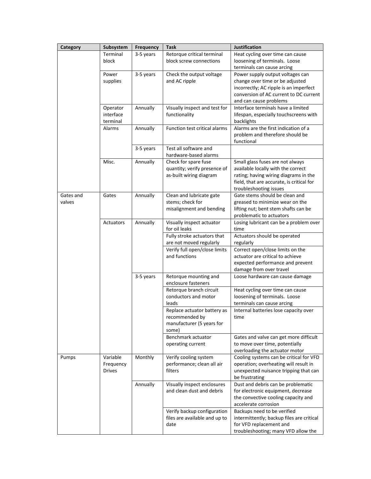| Category            | Subsystem                              | Frequency | Task                                                                                | <b>Justification</b>                                                                                                                                                                   |
|---------------------|----------------------------------------|-----------|-------------------------------------------------------------------------------------|----------------------------------------------------------------------------------------------------------------------------------------------------------------------------------------|
|                     | Terminal<br>block                      | 3-5 years | Retorque critical terminal<br>block screw connections                               | Heat cycling over time can cause<br>loosening of terminals. Loose<br>terminals can cause arcing                                                                                        |
|                     | Power<br>supplies                      | 3-5 years | Check the output voltage<br>and AC ripple                                           | Power supply output voltages can<br>change over time or be adjusted<br>incorrectly; AC ripple is an imperfect<br>conversion of AC current to DC current<br>and can cause problems      |
|                     | Operator<br>interface<br>terminal      | Annually  | Visually inspect and test for<br>functionality                                      | Interface terminals have a limited<br>lifespan, especially touchscreens with<br>backlights                                                                                             |
|                     | Alarms                                 | Annually  | <b>Function test critical alarms</b>                                                | Alarms are the first indication of a<br>problem and therefore should be<br>functional                                                                                                  |
|                     |                                        | 3-5 years | Test all software and<br>hardware-based alarms                                      |                                                                                                                                                                                        |
|                     | Misc.                                  | Annually  | Check for spare fuse<br>quantity; verify presence of<br>as-built wiring diagram     | Small glass fuses are not always<br>available locally with the correct<br>rating; having wiring diagrams in the<br>field, that are accurate, is critical for<br>troubleshooting issues |
| Gates and<br>valves | Gates                                  | Annually  | Clean and lubricate gate<br>stems; check for<br>misalignment and bending            | Gate stems should be clean and<br>greased to minimize wear on the<br>lifting nut; bent stem shafts can be<br>problematic to actuators                                                  |
|                     | Actuators                              | Annually  | Visually inspect actuator<br>for oil leaks                                          | Losing lubricant can be a problem over<br>time                                                                                                                                         |
|                     |                                        |           | Fully stroke actuators that<br>are not moved regularly                              | Actuators should be operated<br>regularly                                                                                                                                              |
|                     |                                        |           | Verify full open/close limits<br>and functions                                      | Correct open/close limits on the<br>actuator are critical to achieve<br>expected performance and prevent<br>damage from over travel                                                    |
|                     |                                        | 3-5 years | Retorque mounting and<br>enclosure fasteners                                        | Loose hardware can cause damage                                                                                                                                                        |
|                     |                                        |           | Retorque branch circuit<br>conductors and motor<br>leads                            | Heat cycling over time can cause<br>loosening of terminals. Loose<br>terminals can cause arcing                                                                                        |
|                     |                                        |           | Replace actuator battery as<br>recommended by<br>manufacturer (5 years for<br>some) | Internal batteries lose capacity over<br>time                                                                                                                                          |
|                     |                                        |           | Benchmark actuator<br>operating current                                             | Gates and valve can get more difficult<br>to move over time, potentially<br>overloading the actuator motor                                                                             |
| Pumps               | Variable<br>Frequency<br><b>Drives</b> | Monthly   | Verify cooling system<br>performance; clean all air<br>filters                      | Cooling systems can be critical for VFD<br>operation; overheating will result in<br>unexpected nuisance tripping that can<br>be frustrating                                            |
|                     |                                        | Annually  | Visually inspect enclosures<br>and clean dust and debris                            | Dust and debris can be problematic<br>for electronic equipment, decrease<br>the convective cooling capacity and<br>accelerate corrosion                                                |
|                     |                                        |           | Verify backup configuration<br>files are available and up to<br>date                | Backups need to be verified<br>intermittently; backup files are critical<br>for VFD replacement and<br>troubleshooting; many VFD allow the                                             |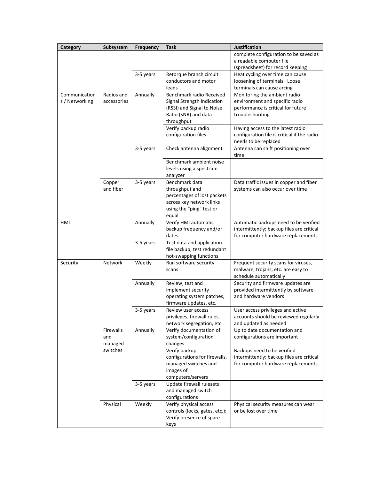| Category       | Subsystem   | <b>Frequency</b> | <b>Task</b>                                         | <b>Justification</b>                                       |
|----------------|-------------|------------------|-----------------------------------------------------|------------------------------------------------------------|
|                |             |                  |                                                     | complete configuration to be saved as                      |
|                |             |                  |                                                     | a readable computer file                                   |
|                |             |                  |                                                     | (spreadsheet) for record keeping                           |
|                |             | 3-5 years        | Retorque branch circuit<br>conductors and motor     | Heat cycling over time can cause                           |
|                |             |                  | leads                                               | loosening of terminals. Loose                              |
| Communication  | Radios and  | Annually         | Benchmark radio Received                            | terminals can cause arcing<br>Monitoring the ambient radio |
| s / Networking | accessories |                  | Signal Strength Indication                          | environment and specific radio                             |
|                |             |                  | (RSSI) and Signal to Noise                          | performance is critical for future                         |
|                |             |                  | Ratio (SNR) and data                                | troubleshooting                                            |
|                |             |                  | throughput                                          |                                                            |
|                |             |                  | Verify backup radio                                 | Having access to the latest radio                          |
|                |             |                  | configuration files                                 | configuration file is critical if the radio                |
|                |             |                  |                                                     | needs to be replaced                                       |
|                |             | 3-5 years        | Check antenna alignment                             | Antenna can shift positioning over<br>time                 |
|                |             |                  | Benchmark ambient noise                             |                                                            |
|                |             |                  | levels using a spectrum                             |                                                            |
|                |             |                  | analyzer                                            |                                                            |
|                | Copper      | 3-5 years        | Benchmark data                                      | Data traffic issues in copper and fiber                    |
|                | and fiber   |                  | throughput and<br>percentages of lost packets       | systems can also occur over time                           |
|                |             |                  | across key network links                            |                                                            |
|                |             |                  | using the "ping" test or                            |                                                            |
|                |             |                  | equal                                               |                                                            |
| HMI            |             | Annually         | Verify HMI automatic                                | Automatic backups need to be verified                      |
|                |             |                  | backup frequency and/or<br>dates                    | intermittently; backup files are critical                  |
|                |             | 3-5 years        | Test data and application                           | for computer hardware replacements                         |
|                |             |                  | file backup; test redundant                         |                                                            |
|                |             |                  | hot-swapping functions                              |                                                            |
| Security       | Network     | Weekly           | Run software security                               | Frequent security scans for viruses,                       |
|                |             |                  | scans                                               | malware, trojans, etc. are easy to                         |
|                |             |                  |                                                     | schedule automatically                                     |
|                |             | Annually         | Review, test and                                    | Security and firmware updates are                          |
|                |             |                  | implement security                                  | provided intermittently by software                        |
|                |             |                  | operating system patches,<br>firmware updates, etc. | and hardware vendors                                       |
|                |             | 3-5 years        | Review user access                                  | User access privileges and active                          |
|                |             |                  | privileges, firewall rules,                         | accounts should be reviewed regularly                      |
|                |             |                  | network segregation, etc.                           | and updated as needed                                      |
|                | Firewalls   | Annually         | Verify documentation of                             | Up to date documentation and                               |
|                | and         |                  | system/configuration                                | configurations are important                               |
|                | managed     |                  | changes                                             |                                                            |
|                | switches    |                  | Verify backup                                       | Backups need to be verified                                |
|                |             |                  | configurations for firewalls,                       | intermittently; backup files are critical                  |
|                |             |                  | managed switches and                                | for computer hardware replacements                         |
|                |             |                  | images of<br>computers/servers                      |                                                            |
|                |             | 3-5 years        | Update firewall rulesets                            |                                                            |
|                |             |                  | and managed switch                                  |                                                            |
|                |             |                  | configurations                                      |                                                            |
|                | Physical    | Weekly           | Verify physical access                              | Physical security measures can wear                        |
|                |             |                  | controls (locks, gates, etc.);                      | or be lost over time                                       |
|                |             |                  | Verify presence of spare                            |                                                            |
|                |             |                  | keys                                                |                                                            |